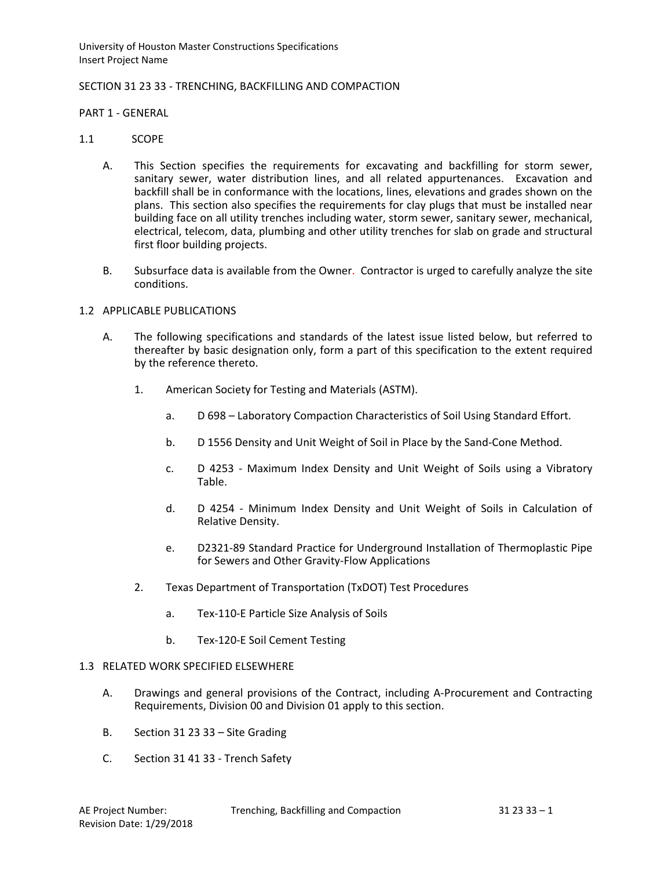# SECTION 31 23 33 - TRENCHING, BACKFILLING AND COMPACTION

#### PART 1 - GENERAL

### 1.1 SCOPE

- A. This Section specifies the requirements for excavating and backfilling for storm sewer, sanitary sewer, water distribution lines, and all related appurtenances. Excavation and backfill shall be in conformance with the locations, lines, elevations and grades shown on the plans. This section also specifies the requirements for clay plugs that must be installed near building face on all utility trenches including water, storm sewer, sanitary sewer, mechanical, electrical, telecom, data, plumbing and other utility trenches for slab on grade and structural first floor building projects.
- B. Subsurface data is available from the Owner. Contractor is urged to carefully analyze the site conditions.

### 1.2 APPLICABLE PUBLICATIONS

- A. The following specifications and standards of the latest issue listed below, but referred to thereafter by basic designation only, form a part of this specification to the extent required by the reference thereto.
	- 1. American Society for Testing and Materials (ASTM).
		- a. D 698 Laboratory Compaction Characteristics of Soil Using Standard Effort.
		- b. D 1556 Density and Unit Weight of Soil in Place by the Sand-Cone Method.
		- c. D 4253 Maximum Index Density and Unit Weight of Soils using a Vibratory Table.
		- d. D 4254 Minimum Index Density and Unit Weight of Soils in Calculation of Relative Density.
		- e. D2321-89 Standard Practice for Underground Installation of Thermoplastic Pipe for Sewers and Other Gravity-Flow Applications
	- 2. Texas Department of Transportation (TxDOT) Test Procedures
		- a. Tex-110-E Particle Size Analysis of Soils
		- b. Tex-120-E Soil Cement Testing

#### 1.3 RELATED WORK SPECIFIED ELSEWHERE

- A. Drawings and general provisions of the Contract, including A-Procurement and Contracting Requirements, Division 00 and Division 01 apply to this section.
- B. Section 31 23 33 Site Grading
- C. Section 31 41 33 Trench Safety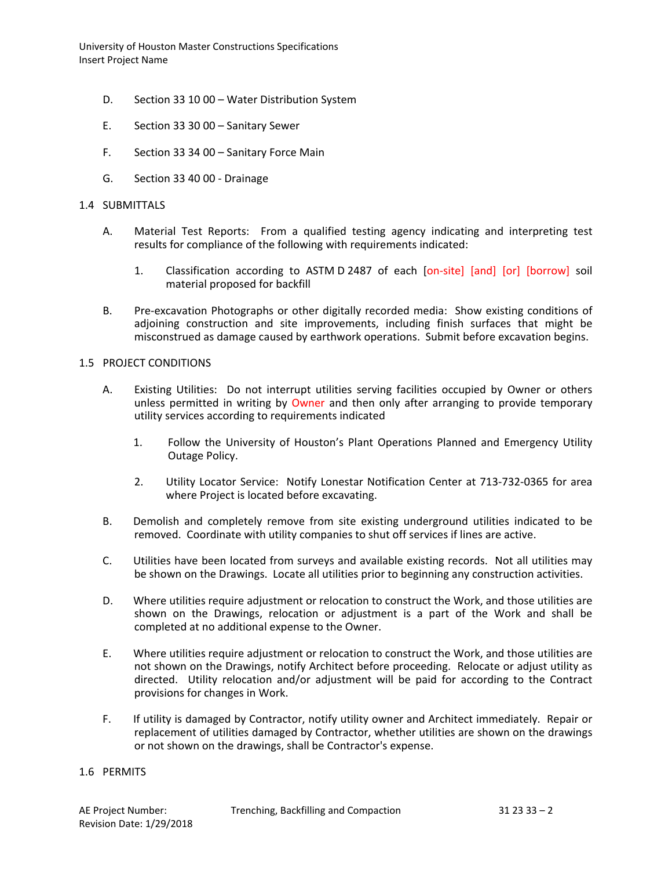- D. Section 33 10 00 Water Distribution System
- E. Section 33 30 00 Sanitary Sewer
- F. Section 33 34 00 Sanitary Force Main
- G. Section 33 40 00 Drainage

# 1.4 SUBMITTALS

- A. Material Test Reports: From a qualified testing agency indicating and interpreting test results for compliance of the following with requirements indicated:
	- 1. Classification according to ASTM D 2487 of each [on-site] [and] [or] [borrow] soil material proposed for backfill
- B. Pre-excavation Photographs or other digitally recorded media: Show existing conditions of adjoining construction and site improvements, including finish surfaces that might be misconstrued as damage caused by earthwork operations. Submit before excavation begins.

# 1.5 PROJECT CONDITIONS

- A. Existing Utilities: Do not interrupt utilities serving facilities occupied by Owner or others unless permitted in writing by Owner and then only after arranging to provide temporary utility services according to requirements indicated
	- 1. Follow the University of Houston's Plant Operations Planned and Emergency Utility Outage Policy.
	- 2. Utility Locator Service: Notify Lonestar Notification Center at 713-732-0365 for area where Project is located before excavating.
- B. Demolish and completely remove from site existing underground utilities indicated to be removed. Coordinate with utility companies to shut off services if lines are active.
- C. Utilities have been located from surveys and available existing records. Not all utilities may be shown on the Drawings. Locate all utilities prior to beginning any construction activities.
- D. Where utilities require adjustment or relocation to construct the Work, and those utilities are shown on the Drawings, relocation or adjustment is a part of the Work and shall be completed at no additional expense to the Owner.
- E. Where utilities require adjustment or relocation to construct the Work, and those utilities are not shown on the Drawings, notify Architect before proceeding. Relocate or adjust utility as directed. Utility relocation and/or adjustment will be paid for according to the Contract provisions for changes in Work.
- F. If utility is damaged by Contractor, notify utility owner and Architect immediately. Repair or replacement of utilities damaged by Contractor, whether utilities are shown on the drawings or not shown on the drawings, shall be Contractor's expense.

## 1.6 PERMITS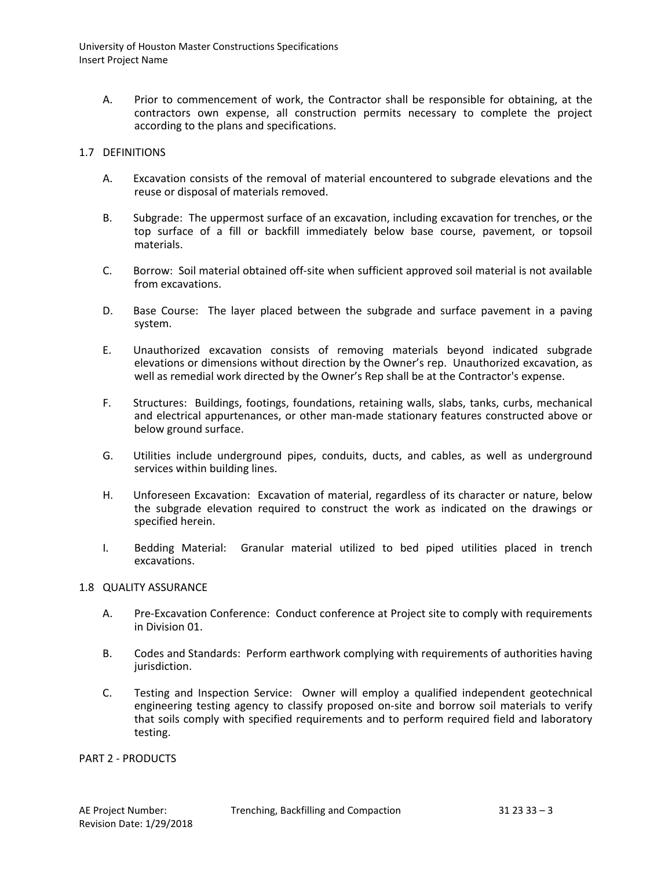A. Prior to commencement of work, the Contractor shall be responsible for obtaining, at the contractors own expense, all construction permits necessary to complete the project according to the plans and specifications.

### 1.7 DEFINITIONS

- A. Excavation consists of the removal of material encountered to subgrade elevations and the reuse or disposal of materials removed.
- B. Subgrade: The uppermost surface of an excavation, including excavation for trenches, or the top surface of a fill or backfill immediately below base course, pavement, or topsoil materials.
- C. Borrow: Soil material obtained off-site when sufficient approved soil material is not available from excavations.
- D. Base Course: The layer placed between the subgrade and surface pavement in a paving system.
- E. Unauthorized excavation consists of removing materials beyond indicated subgrade elevations or dimensions without direction by the Owner's rep. Unauthorized excavation, as well as remedial work directed by the Owner's Rep shall be at the Contractor's expense.
- F. Structures: Buildings, footings, foundations, retaining walls, slabs, tanks, curbs, mechanical and electrical appurtenances, or other man-made stationary features constructed above or below ground surface.
- G. Utilities include underground pipes, conduits, ducts, and cables, as well as underground services within building lines.
- H. Unforeseen Excavation: Excavation of material, regardless of its character or nature, below the subgrade elevation required to construct the work as indicated on the drawings or specified herein.
- I. Bedding Material: Granular material utilized to bed piped utilities placed in trench excavations.

#### 1.8 QUALITY ASSURANCE

- A. Pre-Excavation Conference: Conduct conference at Project site to comply with requirements in Division 01.
- B. Codes and Standards: Perform earthwork complying with requirements of authorities having jurisdiction.
- C. Testing and Inspection Service: Owner will employ a qualified independent geotechnical engineering testing agency to classify proposed on-site and borrow soil materials to verify that soils comply with specified requirements and to perform required field and laboratory testing.

PART 2 - PRODUCTS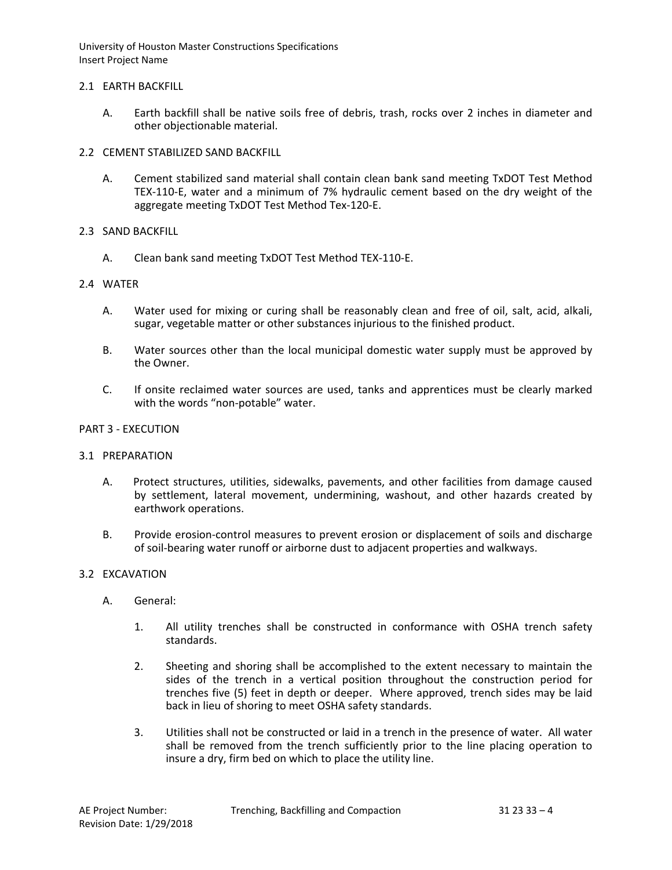# 2.1 EARTH BACKFILL

A. Earth backfill shall be native soils free of debris, trash, rocks over 2 inches in diameter and other objectionable material.

# 2.2 CEMENT STABILIZED SAND BACKFILL

A. Cement stabilized sand material shall contain clean bank sand meeting TxDOT Test Method TEX-110-E, water and a minimum of 7% hydraulic cement based on the dry weight of the aggregate meeting TxDOT Test Method Tex-120-E.

# 2.3 SAND BACKFILL

A. Clean bank sand meeting TxDOT Test Method TEX-110-E.

# 2.4 WATER

- A. Water used for mixing or curing shall be reasonably clean and free of oil, salt, acid, alkali, sugar, vegetable matter or other substances injurious to the finished product.
- B. Water sources other than the local municipal domestic water supply must be approved by the Owner.
- C. If onsite reclaimed water sources are used, tanks and apprentices must be clearly marked with the words "non-potable" water.

# PART 3 - EXECUTION

### 3.1 PREPARATION

- A. Protect structures, utilities, sidewalks, pavements, and other facilities from damage caused by settlement, lateral movement, undermining, washout, and other hazards created by earthwork operations.
- B. Provide erosion-control measures to prevent erosion or displacement of soils and discharge of soil-bearing water runoff or airborne dust to adjacent properties and walkways.

### 3.2 EXCAVATION

- A. General:
	- 1. All utility trenches shall be constructed in conformance with OSHA trench safety standards.
	- 2. Sheeting and shoring shall be accomplished to the extent necessary to maintain the sides of the trench in a vertical position throughout the construction period for trenches five (5) feet in depth or deeper. Where approved, trench sides may be laid back in lieu of shoring to meet OSHA safety standards.
	- 3. Utilities shall not be constructed or laid in a trench in the presence of water. All water shall be removed from the trench sufficiently prior to the line placing operation to insure a dry, firm bed on which to place the utility line.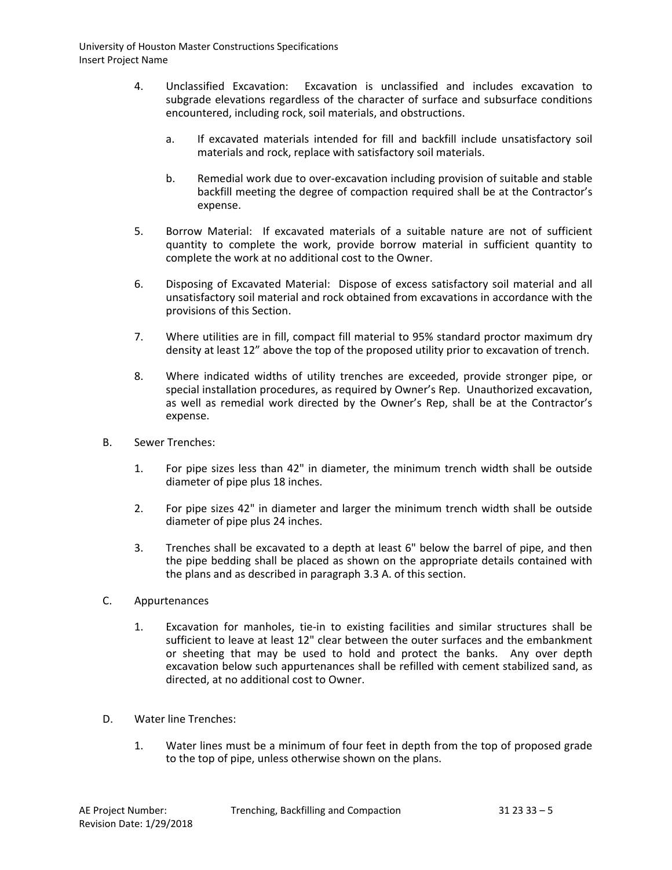- 4. Unclassified Excavation: Excavation is unclassified and includes excavation to subgrade elevations regardless of the character of surface and subsurface conditions encountered, including rock, soil materials, and obstructions.
	- a. If excavated materials intended for fill and backfill include unsatisfactory soil materials and rock, replace with satisfactory soil materials.
	- b. Remedial work due to over-excavation including provision of suitable and stable backfill meeting the degree of compaction required shall be at the Contractor's expense.
- 5. Borrow Material: If excavated materials of a suitable nature are not of sufficient quantity to complete the work, provide borrow material in sufficient quantity to complete the work at no additional cost to the Owner.
- 6. Disposing of Excavated Material: Dispose of excess satisfactory soil material and all unsatisfactory soil material and rock obtained from excavations in accordance with the provisions of this Section.
- 7. Where utilities are in fill, compact fill material to 95% standard proctor maximum dry density at least 12" above the top of the proposed utility prior to excavation of trench.
- 8. Where indicated widths of utility trenches are exceeded, provide stronger pipe, or special installation procedures, as required by Owner's Rep. Unauthorized excavation, as well as remedial work directed by the Owner's Rep, shall be at the Contractor's expense.
- B. Sewer Trenches:
	- 1. For pipe sizes less than 42" in diameter, the minimum trench width shall be outside diameter of pipe plus 18 inches.
	- 2. For pipe sizes 42" in diameter and larger the minimum trench width shall be outside diameter of pipe plus 24 inches.
	- 3. Trenches shall be excavated to a depth at least 6" below the barrel of pipe, and then the pipe bedding shall be placed as shown on the appropriate details contained with the plans and as described in paragraph 3.3 A. of this section.
- C. Appurtenances
	- 1. Excavation for manholes, tie-in to existing facilities and similar structures shall be sufficient to leave at least 12" clear between the outer surfaces and the embankment or sheeting that may be used to hold and protect the banks. Any over depth excavation below such appurtenances shall be refilled with cement stabilized sand, as directed, at no additional cost to Owner.
- D. Water line Trenches:
	- 1. Water lines must be a minimum of four feet in depth from the top of proposed grade to the top of pipe, unless otherwise shown on the plans.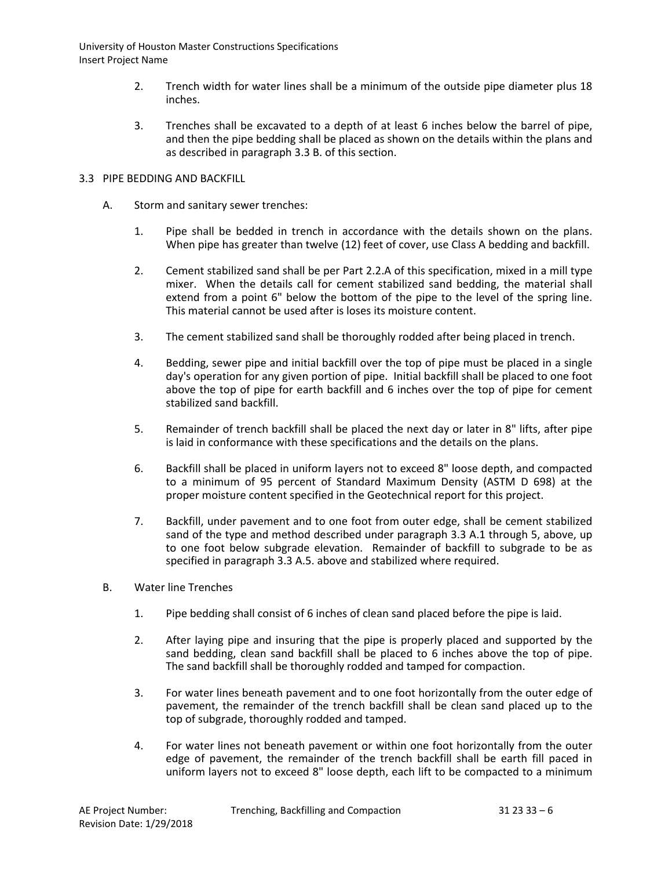- 2. Trench width for water lines shall be a minimum of the outside pipe diameter plus 18 inches.
- 3. Trenches shall be excavated to a depth of at least 6 inches below the barrel of pipe, and then the pipe bedding shall be placed as shown on the details within the plans and as described in paragraph 3.3 B. of this section.

# 3.3 PIPE BEDDING AND BACKFILL

- A. Storm and sanitary sewer trenches:
	- 1. Pipe shall be bedded in trench in accordance with the details shown on the plans. When pipe has greater than twelve (12) feet of cover, use Class A bedding and backfill.
	- 2. Cement stabilized sand shall be per Part 2.2.A of this specification, mixed in a mill type mixer. When the details call for cement stabilized sand bedding, the material shall extend from a point 6" below the bottom of the pipe to the level of the spring line. This material cannot be used after is loses its moisture content.
	- 3. The cement stabilized sand shall be thoroughly rodded after being placed in trench.
	- 4. Bedding, sewer pipe and initial backfill over the top of pipe must be placed in a single day's operation for any given portion of pipe. Initial backfill shall be placed to one foot above the top of pipe for earth backfill and 6 inches over the top of pipe for cement stabilized sand backfill.
	- 5. Remainder of trench backfill shall be placed the next day or later in 8" lifts, after pipe is laid in conformance with these specifications and the details on the plans.
	- 6. Backfill shall be placed in uniform layers not to exceed 8" loose depth, and compacted to a minimum of 95 percent of Standard Maximum Density (ASTM D 698) at the proper moisture content specified in the Geotechnical report for this project.
	- 7. Backfill, under pavement and to one foot from outer edge, shall be cement stabilized sand of the type and method described under paragraph 3.3 A.1 through 5, above, up to one foot below subgrade elevation. Remainder of backfill to subgrade to be as specified in paragraph 3.3 A.5. above and stabilized where required.
- B. Water line Trenches
	- 1. Pipe bedding shall consist of 6 inches of clean sand placed before the pipe is laid.
	- 2. After laying pipe and insuring that the pipe is properly placed and supported by the sand bedding, clean sand backfill shall be placed to 6 inches above the top of pipe. The sand backfill shall be thoroughly rodded and tamped for compaction.
	- 3. For water lines beneath pavement and to one foot horizontally from the outer edge of pavement, the remainder of the trench backfill shall be clean sand placed up to the top of subgrade, thoroughly rodded and tamped.
	- 4. For water lines not beneath pavement or within one foot horizontally from the outer edge of pavement, the remainder of the trench backfill shall be earth fill paced in uniform layers not to exceed 8" loose depth, each lift to be compacted to a minimum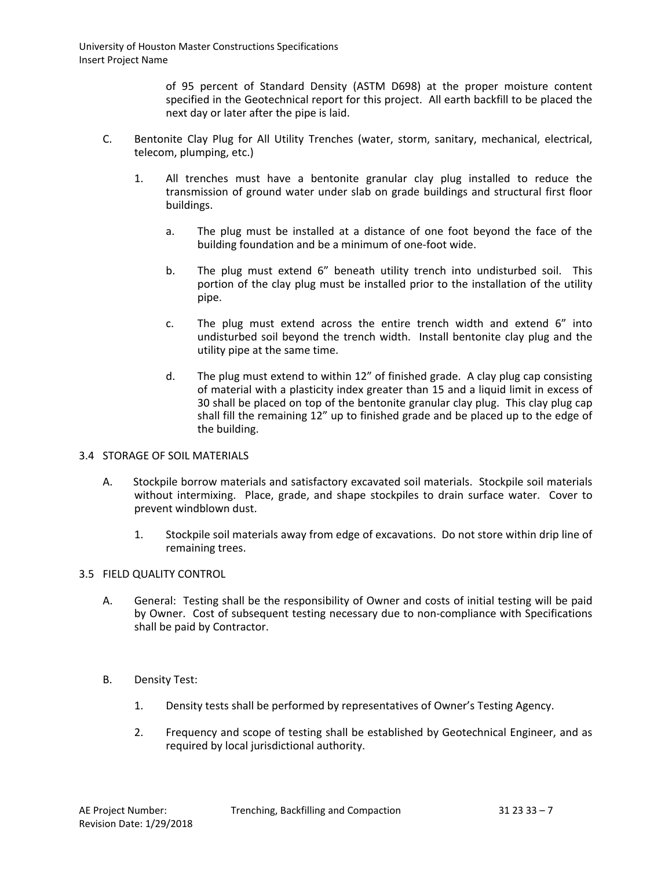of 95 percent of Standard Density (ASTM D698) at the proper moisture content specified in the Geotechnical report for this project. All earth backfill to be placed the next day or later after the pipe is laid.

- C. Bentonite Clay Plug for All Utility Trenches (water, storm, sanitary, mechanical, electrical, telecom, plumping, etc.)
	- 1. All trenches must have a bentonite granular clay plug installed to reduce the transmission of ground water under slab on grade buildings and structural first floor buildings.
		- a. The plug must be installed at a distance of one foot beyond the face of the building foundation and be a minimum of one-foot wide.
		- b. The plug must extend 6" beneath utility trench into undisturbed soil. This portion of the clay plug must be installed prior to the installation of the utility pipe.
		- c. The plug must extend across the entire trench width and extend 6" into undisturbed soil beyond the trench width. Install bentonite clay plug and the utility pipe at the same time.
		- d. The plug must extend to within 12" of finished grade. A clay plug cap consisting of material with a plasticity index greater than 15 and a liquid limit in excess of 30 shall be placed on top of the bentonite granular clay plug. This clay plug cap shall fill the remaining 12" up to finished grade and be placed up to the edge of the building.

# 3.4 STORAGE OF SOIL MATERIALS

- A. Stockpile borrow materials and satisfactory excavated soil materials. Stockpile soil materials without intermixing. Place, grade, and shape stockpiles to drain surface water. Cover to prevent windblown dust.
	- 1. Stockpile soil materials away from edge of excavations. Do not store within drip line of remaining trees.

### 3.5 FIELD QUALITY CONTROL

- A. General: Testing shall be the responsibility of Owner and costs of initial testing will be paid by Owner. Cost of subsequent testing necessary due to non-compliance with Specifications shall be paid by Contractor.
- B. Density Test:
	- 1. Density tests shall be performed by representatives of Owner's Testing Agency.
	- 2. Frequency and scope of testing shall be established by Geotechnical Engineer, and as required by local jurisdictional authority.